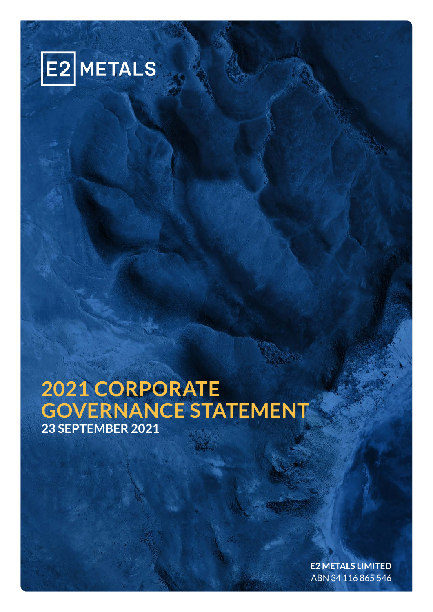

# **2021 CORPORATE GOVERNANCE STATEMENT 23 SEPTEMBER 2021**

**E2 METALS LIMITED** ABN 34 116 865 546

**2021 CORPORATE GOVERNANCE STATEMENT**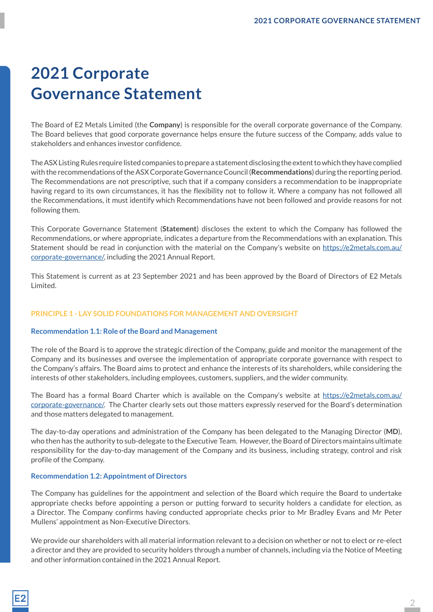# **2021 Corporate Governance Statement**

The Board of E2 Metals Limited (the **Company**) is responsible for the overall corporate governance of the Company. The Board believes that good corporate governance helps ensure the future success of the Company, adds value to stakeholders and enhances investor confidence.

The ASX Listing Rules require listed companies to prepare a statement disclosing the extent to which they have complied with the recommendations of the ASX Corporate Governance Council (**Recommendations**) during the reporting period. The Recommendations are not prescriptive, such that if a company considers a recommendation to be inappropriate having regard to its own circumstances, it has the flexibility not to follow it. Where a company has not followed all the Recommendations, it must identify which Recommendations have not been followed and provide reasons for not following them.

This Corporate Governance Statement (**Statement**) discloses the extent to which the Company has followed the Recommendations, or where appropriate, indicates a departure from the Recommendations with an explanation. This Statement should be read in conjunction with the material on the Company's website on https://e2metals.com.au/ corporate-governance/, including the 2021 Annual Report.

This Statement is current as at 23 September 2021 and has been approved by the Board of Directors of E2 Metals Limited.

## **PRINCIPLE 1 - LAY SOLID FOUNDATIONS FOR MANAGEMENT AND OVERSIGHT**

## **Recommendation 1.1: Role of the Board and Management**

The role of the Board is to approve the strategic direction of the Company, guide and monitor the management of the Company and its businesses and oversee the implementation of appropriate corporate governance with respect to the Company's affairs. The Board aims to protect and enhance the interests of its shareholders, while considering the interests of other stakeholders, including employees, customers, suppliers, and the wider community.

The Board has a formal Board Charter which is available on the Company's website at https://e2metals.com.au/ corporate-governance/. The Charter clearly sets out those matters expressly reserved for the Board's determination and those matters delegated to management.

The day-to-day operations and administration of the Company has been delegated to the Managing Director (**MD**), who then has the authority to sub-delegate to the Executive Team. However, the Board of Directors maintains ultimate responsibility for the day-to-day management of the Company and its business, including strategy, control and risk profile of the Company.

## **Recommendation 1.2: Appointment of Directors**

The Company has guidelines for the appointment and selection of the Board which require the Board to undertake appropriate checks before appointing a person or putting forward to security holders a candidate for election, as a Director. The Company confirms having conducted appropriate checks prior to Mr Bradley Evans and Mr Peter Mullens' appointment as Non-Executive Directors.

We provide our shareholders with all material information relevant to a decision on whether or not to elect or re-elect a director and they are provided to security holders through a number of channels, including via the Notice of Meeting and other information contained in the 2021 Annual Report.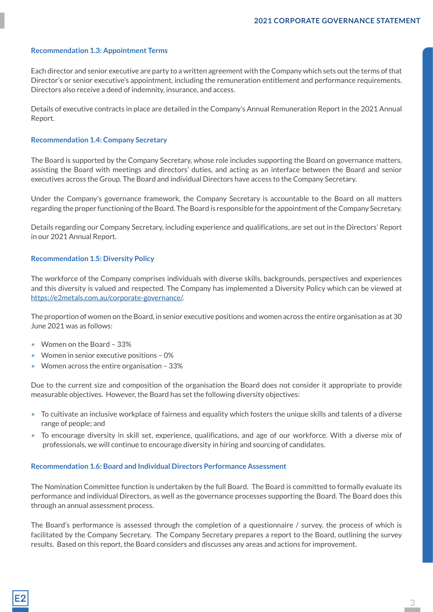## **Recommendation 1.3: Appointment Terms**

Each director and senior executive are party to a written agreement with the Company which sets out the terms of that Director's or senior executive's appointment, including the remuneration entitlement and performance requirements. Directors also receive a deed of indemnity, insurance, and access.

Details of executive contracts in place are detailed in the Company's Annual Remuneration Report in the 2021 Annual Report.

#### **Recommendation 1.4: Company Secretary**

The Board is supported by the Company Secretary, whose role includes supporting the Board on governance matters, assisting the Board with meetings and directors' duties, and acting as an interface between the Board and senior executives across the Group. The Board and individual Directors have access to the Company Secretary.

Under the Company's governance framework, the Company Secretary is accountable to the Board on all matters regarding the proper functioning of the Board. The Board is responsible for the appointment of the Company Secretary.

Details regarding our Company Secretary, including experience and qualifications, are set out in the Directors' Report in our 2021 Annual Report.

#### **Recommendation 1.5: Diversity Policy**

The workforce of the Company comprises individuals with diverse skills, backgrounds, perspectives and experiences and this diversity is valued and respected. The Company has implemented a Diversity Policy which can be viewed at https://e2metals.com.au/corporate-governance/.

The proportion of women on the Board, in senior executive positions and women across the entire organisation as at 30 June 2021 was as follows:

- Women on the Board 33%
- Women in senior executive positions 0%
- Women across the entire organisation 33%

Due to the current size and composition of the organisation the Board does not consider it appropriate to provide measurable objectives. However, the Board has set the following diversity objectives:

- To cultivate an inclusive workplace of fairness and equality which fosters the unique skills and talents of a diverse range of people; and
- To encourage diversity in skill set, experience, qualifications, and age of our workforce. With a diverse mix of professionals, we will continue to encourage diversity in hiring and sourcing of candidates.

#### **Recommendation 1.6: Board and Individual Directors Performance Assessment**

The Nomination Committee function is undertaken by the full Board. The Board is committed to formally evaluate its performance and individual Directors, as well as the governance processes supporting the Board. The Board does this through an annual assessment process.

The Board's performance is assessed through the completion of a questionnaire / survey, the process of which is facilitated by the Company Secretary. The Company Secretary prepares a report to the Board, outlining the survey results. Based on this report, the Board considers and discusses any areas and actions for improvement.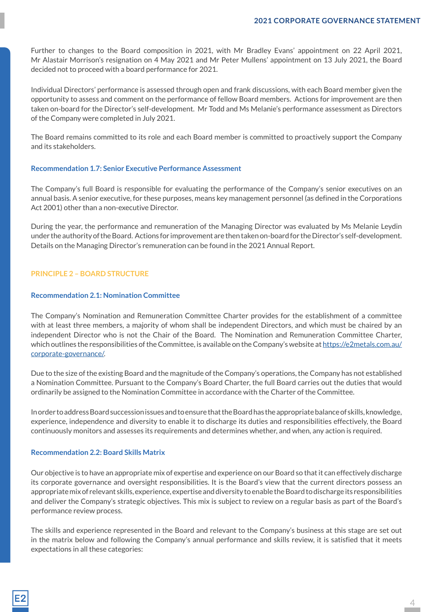Further to changes to the Board composition in 2021, with Mr Bradley Evans' appointment on 22 April 2021, Mr Alastair Morrison's resignation on 4 May 2021 and Mr Peter Mullens' appointment on 13 July 2021, the Board decided not to proceed with a board performance for 2021.

Individual Directors' performance is assessed through open and frank discussions, with each Board member given the opportunity to assess and comment on the performance of fellow Board members. Actions for improvement are then taken on-board for the Director's self-development. Mr Todd and Ms Melanie's performance assessment as Directors of the Company were completed in July 2021.

The Board remains committed to its role and each Board member is committed to proactively support the Company and its stakeholders.

#### **Recommendation 1.7: Senior Executive Performance Assessment**

The Company's full Board is responsible for evaluating the performance of the Company's senior executives on an annual basis. A senior executive, for these purposes, means key management personnel (as defined in the Corporations Act 2001) other than a non-executive Director.

During the year, the performance and remuneration of the Managing Director was evaluated by Ms Melanie Leydin under the authority of the Board. Actions for improvement are then taken on-board for the Director's self-development. Details on the Managing Director's remuneration can be found in the 2021 Annual Report.

## **PRINCIPLE 2 – BOARD STRUCTURE**

## **Recommendation 2.1: Nomination Committee**

The Company's Nomination and Remuneration Committee Charter provides for the establishment of a committee with at least three members, a majority of whom shall be independent Directors, and which must be chaired by an independent Director who is not the Chair of the Board. The Nomination and Remuneration Committee Charter, which outlines the responsibilities of the Committee, is available on the Company's website at https://e2metals.com.au/ corporate-governance/.

Due to the size of the existing Board and the magnitude of the Company's operations, the Company has not established a Nomination Committee. Pursuant to the Company's Board Charter, the full Board carries out the duties that would ordinarily be assigned to the Nomination Committee in accordance with the Charter of the Committee.

In order to address Board succession issues and to ensure that the Board has the appropriate balance of skills, knowledge, experience, independence and diversity to enable it to discharge its duties and responsibilities effectively, the Board continuously monitors and assesses its requirements and determines whether, and when, any action is required.

#### **Recommendation 2.2: Board Skills Matrix**

Our objective is to have an appropriate mix of expertise and experience on our Board so that it can effectively discharge its corporate governance and oversight responsibilities. It is the Board's view that the current directors possess an appropriate mix of relevant skills, experience, expertise and diversity to enable the Board to discharge its responsibilities and deliver the Company's strategic objectives. This mix is subject to review on a regular basis as part of the Board's performance review process.

The skills and experience represented in the Board and relevant to the Company's business at this stage are set out in the matrix below and following the Company's annual performance and skills review, it is satisfied that it meets expectations in all these categories: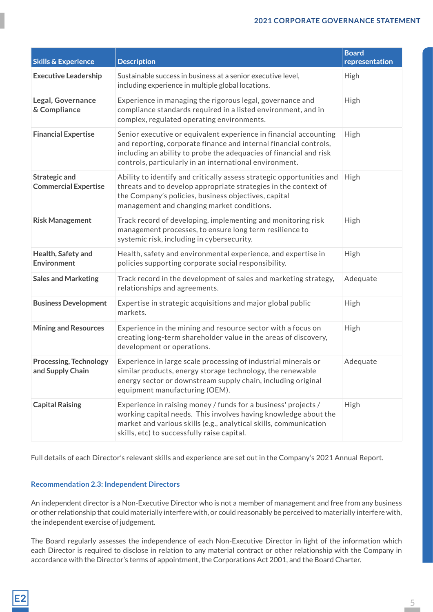| <b>Skills &amp; Experience</b>                      | <b>Description</b>                                                                                                                                                                                                                                                      | <b>Board</b><br>representation |
|-----------------------------------------------------|-------------------------------------------------------------------------------------------------------------------------------------------------------------------------------------------------------------------------------------------------------------------------|--------------------------------|
| <b>Executive Leadership</b>                         | Sustainable success in business at a senior executive level,<br>including experience in multiple global locations.                                                                                                                                                      | <b>High</b>                    |
| Legal, Governance<br>& Compliance                   | Experience in managing the rigorous legal, governance and<br>compliance standards required in a listed environment, and in<br>complex, regulated operating environments.                                                                                                | High                           |
| <b>Financial Expertise</b>                          | Senior executive or equivalent experience in financial accounting<br>and reporting, corporate finance and internal financial controls,<br>including an ability to probe the adequacies of financial and risk<br>controls, particularly in an international environment. | High                           |
| <b>Strategic and</b><br><b>Commercial Expertise</b> | Ability to identify and critically assess strategic opportunities and<br>threats and to develop appropriate strategies in the context of<br>the Company's policies, business objectives, capital<br>management and changing market conditions.                          | High                           |
| <b>Risk Management</b>                              | Track record of developing, implementing and monitoring risk<br>management processes, to ensure long term resilience to<br>systemic risk, including in cybersecurity.                                                                                                   | High                           |
| Health, Safety and<br><b>Environment</b>            | Health, safety and environmental experience, and expertise in<br>policies supporting corporate social responsibility.                                                                                                                                                   | High                           |
| <b>Sales and Marketing</b>                          | Track record in the development of sales and marketing strategy,<br>relationships and agreements.                                                                                                                                                                       | Adequate                       |
| <b>Business Development</b>                         | Expertise in strategic acquisitions and major global public<br>markets.                                                                                                                                                                                                 | High                           |
| <b>Mining and Resources</b>                         | Experience in the mining and resource sector with a focus on<br>creating long-term shareholder value in the areas of discovery,<br>development or operations.                                                                                                           | High                           |
| <b>Processing, Technology</b><br>and Supply Chain   | Experience in large scale processing of industrial minerals or<br>similar products, energy storage technology, the renewable<br>energy sector or downstream supply chain, including original<br>equipment manufacturing (OEM).                                          | Adequate                       |
| <b>Capital Raising</b>                              | Experience in raising money / funds for a business' projects /<br>working capital needs. This involves having knowledge about the<br>market and various skills (e.g., analytical skills, communication<br>skills, etc) to successfully raise capital.                   | High                           |

Full details of each Director's relevant skills and experience are set out in the Company's 2021 Annual Report.

# **Recommendation 2.3: Independent Directors**

An independent director is a Non-Executive Director who is not a member of management and free from any business or other relationship that could materially interfere with, or could reasonably be perceived to materially interfere with, the independent exercise of judgement.

The Board regularly assesses the independence of each Non-Executive Director in light of the information which each Director is required to disclose in relation to any material contract or other relationship with the Company in accordance with the Director's terms of appointment, the Corporations Act 2001, and the Board Charter.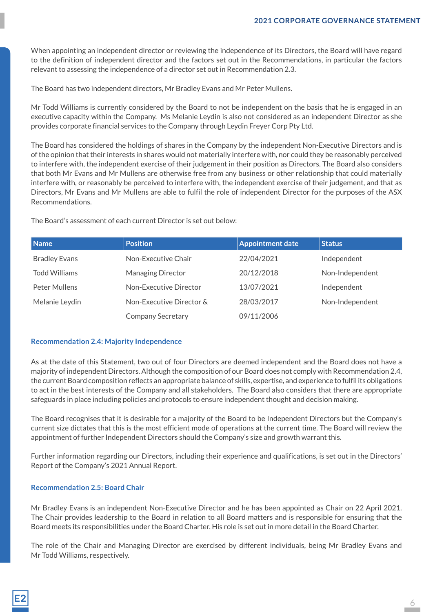When appointing an independent director or reviewing the independence of its Directors, the Board will have regard to the definition of independent director and the factors set out in the Recommendations, in particular the factors relevant to assessing the independence of a director set out in Recommendation 2.3.

The Board has two independent directors, Mr Bradley Evans and Mr Peter Mullens.

Mr Todd Williams is currently considered by the Board to not be independent on the basis that he is engaged in an executive capacity within the Company. Ms Melanie Leydin is also not considered as an independent Director as she provides corporate financial services to the Company through Leydin Freyer Corp Pty Ltd.

The Board has considered the holdings of shares in the Company by the independent Non-Executive Directors and is of the opinion that their interests in shares would not materially interfere with, nor could they be reasonably perceived to interfere with, the independent exercise of their judgement in their position as Directors. The Board also considers that both Mr Evans and Mr Mullens are otherwise free from any business or other relationship that could materially interfere with, or reasonably be perceived to interfere with, the independent exercise of their judgement, and that as Directors, Mr Evans and Mr Mullens are able to fulfil the role of independent Director for the purposes of the ASX Recommendations.

The Board's assessment of each current Director is set out below:

| <b>Name</b>          | <b>Position</b>          | <b>Appointment date</b> | <b>Status</b>   |
|----------------------|--------------------------|-------------------------|-----------------|
| <b>Bradley Evans</b> | Non-Executive Chair      | 22/04/2021              | Independent     |
| <b>Todd Williams</b> | <b>Managing Director</b> | 20/12/2018              | Non-Independent |
| Peter Mullens        | Non-Executive Director   | 13/07/2021              | Independent     |
| Melanie Leydin       | Non-Executive Director & | 28/03/2017              | Non-Independent |
|                      | <b>Company Secretary</b> | 09/11/2006              |                 |

## **Recommendation 2.4: Majority Independence**

As at the date of this Statement, two out of four Directors are deemed independent and the Board does not have a majority of independent Directors. Although the composition of our Board does not comply with Recommendation 2.4, the current Board composition reflects an appropriate balance of skills, expertise, and experience to fulfil its obligations to act in the best interests of the Company and all stakeholders. The Board also considers that there are appropriate safeguards in place including policies and protocols to ensure independent thought and decision making.

The Board recognises that it is desirable for a majority of the Board to be Independent Directors but the Company's current size dictates that this is the most efficient mode of operations at the current time. The Board will review the appointment of further Independent Directors should the Company's size and growth warrant this.

Further information regarding our Directors, including their experience and qualifications, is set out in the Directors' Report of the Company's 2021 Annual Report.

#### **Recommendation 2.5: Board Chair**

Mr Bradley Evans is an independent Non-Executive Director and he has been appointed as Chair on 22 April 2021. The Chair provides leadership to the Board in relation to all Board matters and is responsible for ensuring that the Board meets its responsibilities under the Board Charter. His role is set out in more detail in the Board Charter.

The role of the Chair and Managing Director are exercised by different individuals, being Mr Bradley Evans and Mr Todd Williams, respectively.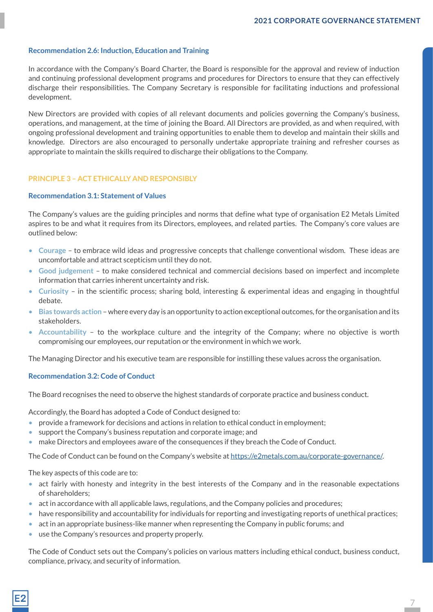7

#### **Recommendation 2.6: Induction, Education and Training**

In accordance with the Company's Board Charter, the Board is responsible for the approval and review of induction and continuing professional development programs and procedures for Directors to ensure that they can effectively discharge their responsibilities. The Company Secretary is responsible for facilitating inductions and professional development.

New Directors are provided with copies of all relevant documents and policies governing the Company's business, operations, and management, at the time of joining the Board. All Directors are provided, as and when required, with ongoing professional development and training opportunities to enable them to develop and maintain their skills and knowledge. Directors are also encouraged to personally undertake appropriate training and refresher courses as appropriate to maintain the skills required to discharge their obligations to the Company.

## **PRINCIPLE 3 – ACT ETHICALLY AND RESPONSIBLY**

#### **Recommendation 3.1: Statement of Values**

The Company's values are the guiding principles and norms that define what type of organisation E2 Metals Limited aspires to be and what it requires from its Directors, employees, and related parties. The Company's core values are outlined below:

- **Courage** to embrace wild ideas and progressive concepts that challenge conventional wisdom. These ideas are uncomfortable and attract scepticism until they do not.
- **Good judgement** to make considered technical and commercial decisions based on imperfect and incomplete information that carries inherent uncertainty and risk.
- **Curiosity** in the scientific process; sharing bold, interesting & experimental ideas and engaging in thoughtful debate.
- **Bias towards action** where every day is an opportunity to action exceptional outcomes, for the organisation and its stakeholders.
- **Accountability** to the workplace culture and the integrity of the Company; where no objective is worth compromising our employees, our reputation or the environment in which we work.

The Managing Director and his executive team are responsible for instilling these values across the organisation.

#### **Recommendation 3.2: Code of Conduct**

The Board recognises the need to observe the highest standards of corporate practice and business conduct.

Accordingly, the Board has adopted a Code of Conduct designed to:

- provide a framework for decisions and actions in relation to ethical conduct in employment;
- support the Company's business reputation and corporate image; and
- make Directors and employees aware of the consequences if they breach the Code of Conduct.

The Code of Conduct can be found on the Company's website at https://e2metals.com.au/corporate-governance/.

The key aspects of this code are to:

- act fairly with honesty and integrity in the best interests of the Company and in the reasonable expectations of shareholders;
- act in accordance with all applicable laws, regulations, and the Company policies and procedures;
- have responsibility and accountability for individuals for reporting and investigating reports of unethical practices;
- act in an appropriate business-like manner when representing the Company in public forums; and
- use the Company's resources and property properly.

The Code of Conduct sets out the Company's policies on various matters including ethical conduct, business conduct, compliance, privacy, and security of information.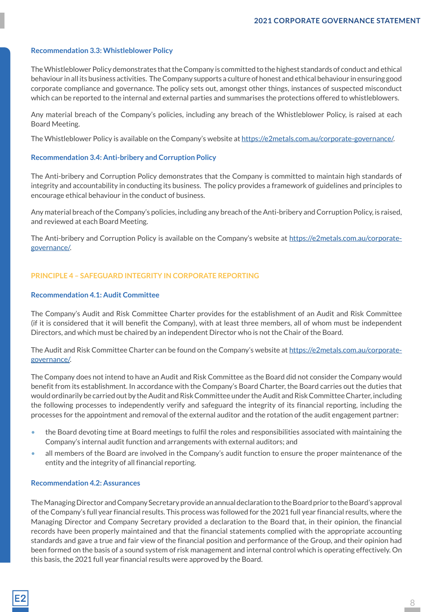## **Recommendation 3.3: Whistleblower Policy**

The Whistleblower Policy demonstrates that the Company is committed to the highest standards of conduct and ethical behaviour in all its business activities. The Company supports a culture of honest and ethical behaviour in ensuring good corporate compliance and governance. The policy sets out, amongst other things, instances of suspected misconduct which can be reported to the internal and external parties and summarises the protections offered to whistleblowers.

Any material breach of the Company's policies, including any breach of the Whistleblower Policy, is raised at each Board Meeting.

The Whistleblower Policy is available on the Company's website at https://e2metals.com.au/corporate-governance/.

## **Recommendation 3.4: Anti-bribery and Corruption Policy**

The Anti-bribery and Corruption Policy demonstrates that the Company is committed to maintain high standards of integrity and accountability in conducting its business. The policy provides a framework of guidelines and principles to encourage ethical behaviour in the conduct of business.

Any material breach of the Company's policies, including any breach of the Anti-bribery and Corruption Policy, is raised, and reviewed at each Board Meeting.

The Anti-bribery and Corruption Policy is available on the Company's website at https://e2metals.com.au/corporategovernance/.

## **PRINCIPLE 4 – SAFEGUARD INTEGRITY IN CORPORATE REPORTING**

#### **Recommendation 4.1: Audit Committee**

The Company's Audit and Risk Committee Charter provides for the establishment of an Audit and Risk Committee (if it is considered that it will benefit the Company), with at least three members, all of whom must be independent Directors, and which must be chaired by an independent Director who is not the Chair of the Board.

The Audit and Risk Committee Charter can be found on the Company's website at https://e2metals.com.au/corporategovernance/.

The Company does not intend to have an Audit and Risk Committee as the Board did not consider the Company would benefit from its establishment. In accordance with the Company's Board Charter, the Board carries out the duties that would ordinarily be carried out by the Audit and Risk Committee under the Audit and Risk Committee Charter, including the following processes to independently verify and safeguard the integrity of its financial reporting, including the processes for the appointment and removal of the external auditor and the rotation of the audit engagement partner:

- the Board devoting time at Board meetings to fulfil the roles and responsibilities associated with maintaining the Company's internal audit function and arrangements with external auditors; and
- all members of the Board are involved in the Company's audit function to ensure the proper maintenance of the entity and the integrity of all financial reporting.

#### **Recommendation 4.2: Assurances**

The Managing Director and Company Secretary provide an annual declaration to the Board prior to the Board's approval of the Company's full year financial results. This process was followed for the 2021 full year financial results, where the Managing Director and Company Secretary provided a declaration to the Board that, in their opinion, the financial records have been properly maintained and that the financial statements complied with the appropriate accounting standards and gave a true and fair view of the financial position and performance of the Group, and their opinion had been formed on the basis of a sound system of risk management and internal control which is operating effectively. On this basis, the 2021 full year financial results were approved by the Board.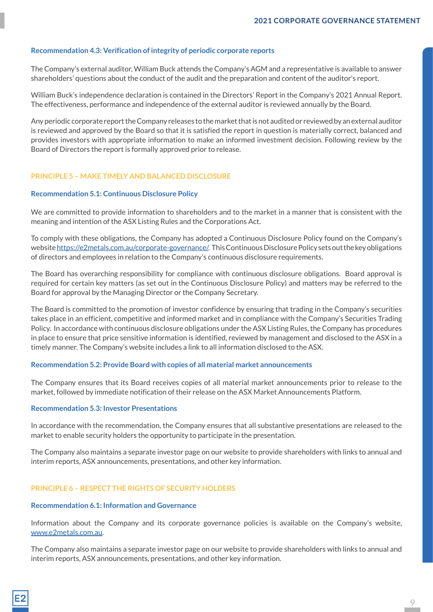## **Recommendation 4.3: Verification of integrity of periodic corporate reports**

The Company's external auditor, William Buck attends the Company's AGM and a representative is available to answer shareholders' questions about the conduct of the audit and the preparation and content of the auditor's report.

William Buck's independence declaration is contained in the Directors' Report in the Company's 2021 Annual Report. The effectiveness, performance and independence of the external auditor is reviewed annually by the Board.

Any periodic corporate report the Company releases to the market that is not audited or reviewed by an external auditor is reviewed and approved by the Board so that it is satisfied the report in question is materially correct, balanced and provides investors with appropriate information to make an informed investment decision. Following review by the Board of Directors the report is formally approved prior to release.

## **PRINCIPLE 5 – MAKE TIMELY AND BALANCED DISCLOSURE**

#### **Recommendation 5.1: Continuous Disclosure Policy**

We are committed to provide information to shareholders and to the market in a manner that is consistent with the meaning and intention of the ASX Listing Rules and the Corporations Act.

To comply with these obligations, the Company has adopted a Continuous Disclosure Policy found on the Company's website https://e2metals.com.au/corporate-governance/. This Continuous Disclosure Policy sets out the key obligations of directors and employees in relation to the Company's continuous disclosure requirements.

The Board has overarching responsibility for compliance with continuous disclosure obligations. Board approval is required for certain key matters (as set out in the Continuous Disclosure Policy) and matters may be referred to the Board for approval by the Managing Director or the Company Secretary.

The Board is committed to the promotion of investor confidence by ensuring that trading in the Company's securities takes place in an efficient, competitive and informed market and in compliance with the Company's Securities Trading Policy. In accordance with continuous disclosure obligations under the ASX Listing Rules, the Company has procedures in place to ensure that price sensitive information is identified, reviewed by management and disclosed to the ASX in a timely manner. The Company's website includes a link to all information disclosed to the ASX.

#### **Recommendation 5.2: Provide Board with copies of all material market announcements**

The Company ensures that its Board receives copies of all material market announcements prior to release to the market, followed by immediate notification of their release on the ASX Market Announcements Platform.

#### **Recommendation 5.3: Investor Presentations**

In accordance with the recommendation, the Company ensures that all substantive presentations are released to the market to enable security holders the opportunity to participate in the presentation.

The Company also maintains a separate investor page on our website to provide shareholders with links to annual and interim reports, ASX announcements, presentations, and other key information.

# **PRINCIPLE 6 – RESPECT THE RIGHTS OF SECURITY HOLDERS**

#### **Recommendation 6.1: Information and Governance**

Information about the Company and its corporate governance policies is available on the Company's website, www.e2metals.com.au.

The Company also maintains a separate investor page on our website to provide shareholders with links to annual and interim reports, ASX announcements, presentations, and other key information.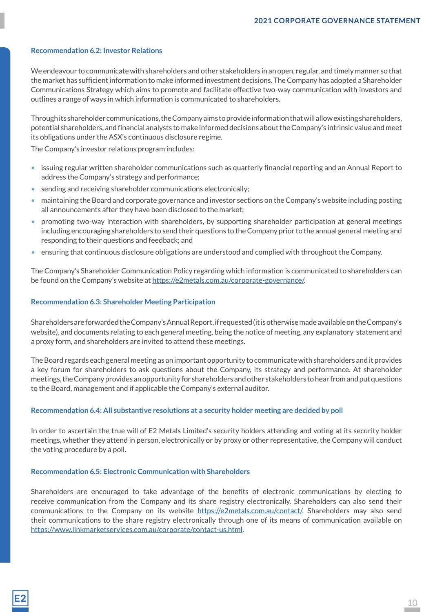## **Recommendation 6.2: Investor Relations**

We endeavour to communicate with shareholders and other stakeholders in an open, regular, and timely manner so that the market has sufficient information to make informed investment decisions. The Company has adopted a Shareholder Communications Strategy which aims to promote and facilitate effective two-way communication with investors and outlines a range of ways in which information is communicated to shareholders.

Through its shareholder communications, the Company aims to provide information that will allow existing shareholders, potential shareholders, and financial analysts to make informed decisions about the Company's intrinsic value and meet its obligations under the ASX's continuous disclosure regime.

The Company's investor relations program includes:

- issuing regular written shareholder communications such as quarterly financial reporting and an Annual Report to address the Company's strategy and performance;
- sending and receiving shareholder communications electronically;
- maintaining the Board and corporate governance and investor sections on the Company's website including posting all announcements after they have been disclosed to the market;
- promoting two-way interaction with shareholders, by supporting shareholder participation at general meetings including encouraging shareholders to send their questions to the Company prior to the annual general meeting and responding to their questions and feedback; and
- ensuring that continuous disclosure obligations are understood and complied with throughout the Company.

The Company's Shareholder Communication Policy regarding which information is communicated to shareholders can be found on the Company's website at https://e2metals.com.au/corporate-governance/.

## **Recommendation 6.3: Shareholder Meeting Participation**

Shareholders are forwarded the Company's Annual Report, if requested (it is otherwise made available on the Company's website), and documents relating to each general meeting, being the notice of meeting, any explanatory statement and a proxy form, and shareholders are invited to attend these meetings.

The Board regards each general meeting as an important opportunity to communicate with shareholders and it provides a key forum for shareholders to ask questions about the Company, its strategy and performance. At shareholder meetings, the Company provides an opportunity for shareholders and other stakeholders to hear from and put questions to the Board, management and if applicable the Company's external auditor.

## **Recommendation 6.4: All substantive resolutions at a security holder meeting are decided by poll**

In order to ascertain the true will of E2 Metals Limited's security holders attending and voting at its security holder meetings, whether they attend in person, electronically or by proxy or other representative, the Company will conduct the voting procedure by a poll.

#### **Recommendation 6.5: Electronic Communication with Shareholders**

Shareholders are encouraged to take advantage of the benefits of electronic communications by electing to receive communication from the Company and its share registry electronically. Shareholders can also send their communications to the Company on its website https://e2metals.com.au/contact/. Shareholders may also send their communications to the share registry electronically through one of its means of communication available on https://www.linkmarketservices.com.au/corporate/contact-us.html.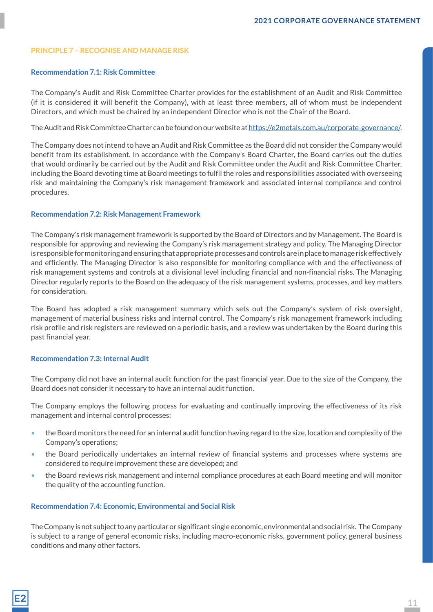## **PRINCIPLE 7 – RECOGNISE AND MANAGE RISK**

## **Recommendation 7.1: Risk Committee**

The Company's Audit and Risk Committee Charter provides for the establishment of an Audit and Risk Committee (if it is considered it will benefit the Company), with at least three members, all of whom must be independent Directors, and which must be chaired by an independent Director who is not the Chair of the Board.

The Audit and Risk Committee Charter can be found on our website at https://e2metals.com.au/corporate-governance/.

The Company does not intend to have an Audit and Risk Committee as the Board did not consider the Company would benefit from its establishment. In accordance with the Company's Board Charter, the Board carries out the duties that would ordinarily be carried out by the Audit and Risk Committee under the Audit and Risk Committee Charter, including the Board devoting time at Board meetings to fulfil the roles and responsibilities associated with overseeing risk and maintaining the Company's risk management framework and associated internal compliance and control procedures.

## **Recommendation 7.2: Risk Management Framework**

The Company's risk management framework is supported by the Board of Directors and by Management. The Board is responsible for approving and reviewing the Company's risk management strategy and policy. The Managing Director is responsible for monitoring and ensuring that appropriate processes and controls are in place to manage risk effectively and efficiently. The Managing Director is also responsible for monitoring compliance with and the effectiveness of risk management systems and controls at a divisional level including financial and non-financial risks. The Managing Director regularly reports to the Board on the adequacy of the risk management systems, processes, and key matters for consideration.

The Board has adopted a risk management summary which sets out the Company's system of risk oversight, management of material business risks and internal control. The Company's risk management framework including risk profile and risk registers are reviewed on a periodic basis, and a review was undertaken by the Board during this past financial year.

## **Recommendation 7.3: Internal Audit**

The Company did not have an internal audit function for the past financial year. Due to the size of the Company, the Board does not consider it necessary to have an internal audit function.

The Company employs the following process for evaluating and continually improving the effectiveness of its risk management and internal control processes:

- the Board monitors the need for an internal audit function having regard to the size, location and complexity of the Company's operations;
- the Board periodically undertakes an internal review of financial systems and processes where systems are considered to require improvement these are developed; and
- the Board reviews risk management and internal compliance procedures at each Board meeting and will monitor the quality of the accounting function.

#### **Recommendation 7.4: Economic, Environmental and Social Risk**

The Company is not subject to any particular or significant single economic, environmental and social risk. The Company is subject to a range of general economic risks, including macro-economic risks, government policy, general business conditions and many other factors.